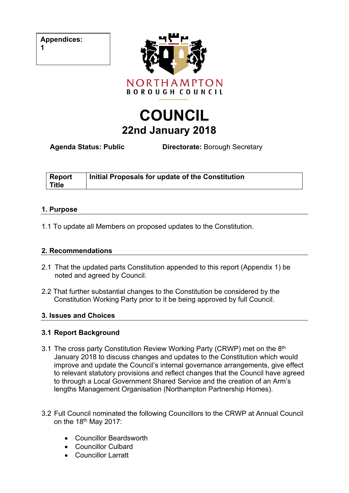**Appendices:**

**1**



# **COUNCIL 22nd January 2018**

**Agenda Status: Public Directorate:** Borough Secretary

| <b>Report</b> | Initial Proposals for update of the Constitution |
|---------------|--------------------------------------------------|
| <b>Title</b>  |                                                  |

#### **1. Purpose**

1.1 To update all Members on proposed updates to the Constitution.

#### **2. Recommendations**

- 2.1 That the updated parts Constitution appended to this report (Appendix 1) be noted and agreed by Council.
- 2.2 That further substantial changes to the Constitution be considered by the Constitution Working Party prior to it be being approved by full Council.

## **3. Issues and Choices**

## **3.1 Report Background**

- 3.1 The cross party Constitution Review Working Party (CRWP) met on the 8<sup>th</sup> January 2018 to discuss changes and updates to the Constitution which would improve and update the Council's internal governance arrangements, give effect to relevant statutory provisions and reflect changes that the Council have agreed to through a Local Government Shared Service and the creation of an Arm's lengths Management Organisation (Northampton Partnership Homes).
- 3.2 Full Council nominated the following Councillors to the CRWP at Annual Council on the 18<sup>th</sup> May 2017:
	- Councillor Beardsworth
	- Councillor Culbard
	- Councillor Larratt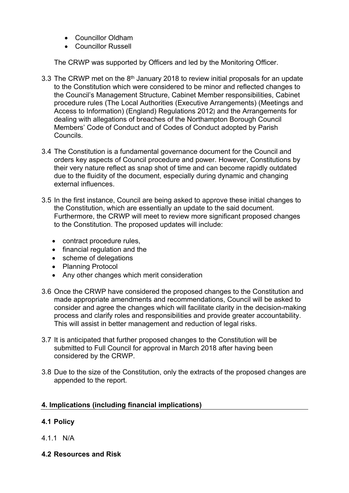- Councillor Oldham
- Councillor Russell

The CRWP was supported by Officers and led by the Monitoring Officer.

- 3.3 The CRWP met on the  $8<sup>th</sup>$  January 2018 to review initial proposals for an update to the Constitution which were considered to be minor and reflected changes to the Council's Management Structure, Cabinet Member responsibilities, Cabinet procedure rules (The Local Authorities (Executive Arrangements) (Meetings and Access to Information) (England) Regulations 2012) and the Arrangements for dealing with allegations of breaches of the Northampton Borough Council Members' Code of Conduct and of Codes of Conduct adopted by Parish Councils.
- 3.4 The Constitution is a fundamental governance document for the Council and orders key aspects of Council procedure and power. However, Constitutions by their very nature reflect as snap shot of time and can become rapidly outdated due to the fluidity of the document, especially during dynamic and changing external influences.
- 3.5 In the first instance, Council are being asked to approve these initial changes to the Constitution, which are essentially an update to the said document. Furthermore, the CRWP will meet to review more significant proposed changes to the Constitution. The proposed updates will include:
	- contract procedure rules,
	- financial regulation and the
	- scheme of delegations
	- Planning Protocol
	- Any other changes which merit consideration
- 3.6 Once the CRWP have considered the proposed changes to the Constitution and made appropriate amendments and recommendations, Council will be asked to consider and agree the changes which will facilitate clarity in the decision-making process and clarify roles and responsibilities and provide greater accountability. This will assist in better management and reduction of legal risks.
- 3.7 It is anticipated that further proposed changes to the Constitution will be submitted to Full Council for approval in March 2018 after having been considered by the CRWP.
- 3.8 Due to the size of the Constitution, only the extracts of the proposed changes are appended to the report.

## **4. Implications (including financial implications)**

## **4.1 Policy**

- 4.1.1 N/A
- **4.2 Resources and Risk**